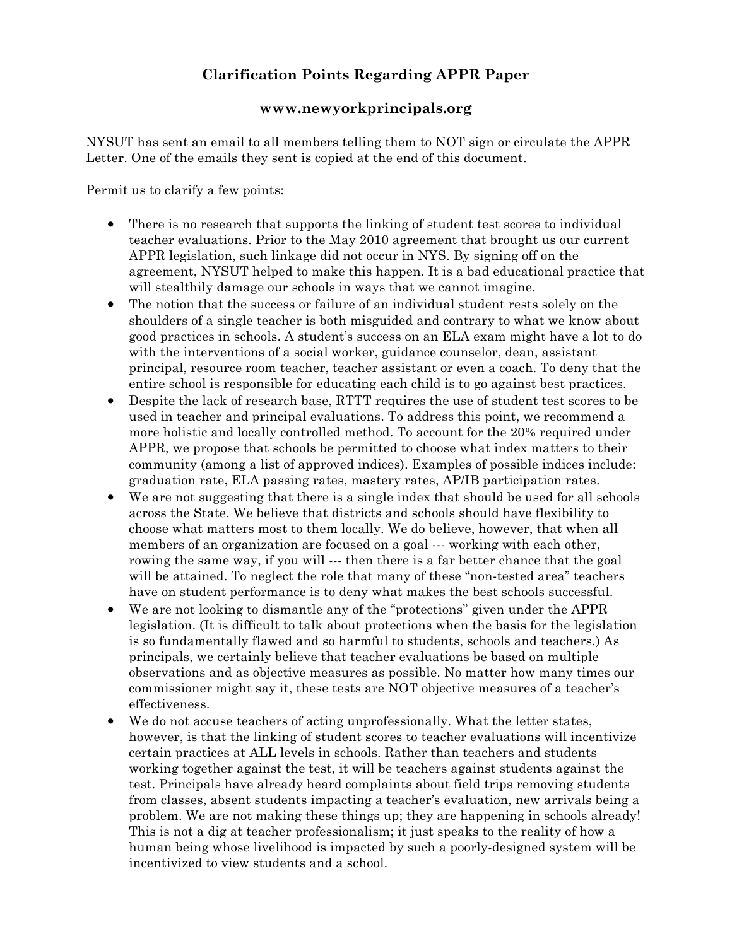## **Clarification Points Regarding APPR Paper**

## **www.newyorkprincipals.org**

NYSUT has sent an email to all members telling them to NOT sign or circulate the APPR Letter. One of the emails they sent is copied at the end of this document.

Permit us to clarify a few points:

- There is no research that supports the linking of student test scores to individual teacher evaluations. Prior to the May 2010 agreement that brought us our current APPR legislation, such linkage did not occur in NYS. By signing off on the agreement, NYSUT helped to make this happen. It is a bad educational practice that will stealthily damage our schools in ways that we cannot imagine.
- The notion that the success or failure of an individual student rests solely on the shoulders of a single teacher is both misguided and contrary to what we know about good practices in schools. A student's success on an ELA exam might have a lot to do with the interventions of a social worker, guidance counselor, dean, assistant principal, resource room teacher, teacher assistant or even a coach. To deny that the entire school is responsible for educating each child is to go against best practices.
- Despite the lack of research base, RTTT requires the use of student test scores to be used in teacher and principal evaluations. To address this point, we recommend a more holistic and locally controlled method. To account for the 20% required under APPR, we propose that schools be permitted to choose what index matters to their community (among a list of approved indices). Examples of possible indices include: graduation rate, ELA passing rates, mastery rates, AP/IB participation rates.
- We are not suggesting that there is a single index that should be used for all schools across the State. We believe that districts and schools should have flexibility to choose what matters most to them locally. We do believe, however, that when all members of an organization are focused on a goal --- working with each other, rowing the same way, if you will --- then there is a far better chance that the goal will be attained. To neglect the role that many of these "non-tested area" teachers have on student performance is to deny what makes the best schools successful.
- We are not looking to dismantle any of the "protections" given under the APPR legislation. (It is difficult to talk about protections when the basis for the legislation is so fundamentally flawed and so harmful to students, schools and teachers.) As principals, we certainly believe that teacher evaluations be based on multiple observations and as objective measures as possible. No matter how many times our commissioner might say it, these tests are NOT objective measures of a teacher's effectiveness.
- We do not accuse teachers of acting unprofessionally. What the letter states, however, is that the linking of student scores to teacher evaluations will incentivize certain practices at ALL levels in schools. Rather than teachers and students working together against the test, it will be teachers against students against the test. Principals have already heard complaints about field trips removing students from classes, absent students impacting a teacher's evaluation, new arrivals being a problem. We are not making these things up; they are happening in schools already! This is not a dig at teacher professionalism; it just speaks to the reality of how a human being whose livelihood is impacted by such a poorly-designed system will be incentivized to view students and a school.